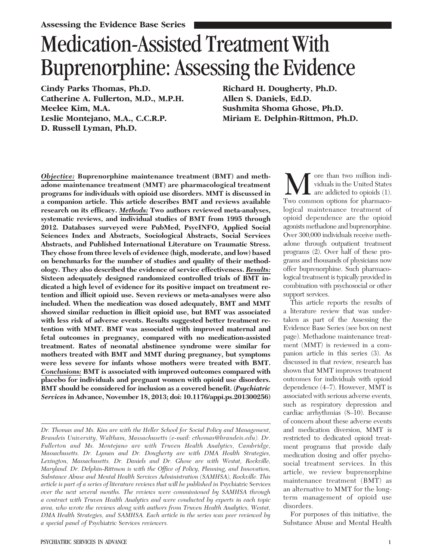# Medication-Assisted Treatment With Buprenorphine: Assessing the Evidence

Cindy Parks Thomas, Ph.D. Catherine A. Fullerton, M.D., M.P.H. Meelee Kim, M.A. Leslie Montejano, M.A., C.C.R.P. D. Russell Lyman, Ph.D.

Richard H. Dougherty, Ph.D. Allen S. Daniels, Ed.D. Sushmita Shoma Ghose, Ph.D. Miriam E. Delphin-Rittmon, Ph.D.

Objective: Buprenorphine maintenance treatment (BMT) and methadone maintenance treatment (MMT) are pharmacological treatment programs for individuals with opioid use disorders. MMT is discussed in a companion article. This article describes BMT and reviews available research on its efficacy. Methods: Two authors reviewed meta-analyses, systematic reviews, and individual studies of BMT from 1995 through 2012. Databases surveyed were PubMed, PsycINFO, Applied Social Sciences Index and Abstracts, Sociological Abstracts, Social Services Abstracts, and Published International Literature on Traumatic Stress. They chose from three levels of evidence (high, moderate, and low) based on benchmarks for the number of studies and quality of their methodology. They also described the evidence of service effectiveness. Results: Sixteen adequately designed randomized controlled trials of BMT indicated a high level of evidence for its positive impact on treatment retention and illicit opioid use. Seven reviews or meta-analyses were also included. When the medication was dosed adequately, BMT and MMT showed similar reduction in illicit opioid use, but BMT was associated with less risk of adverse events. Results suggested better treatment retention with MMT. BMT was associated with improved maternal and fetal outcomes in pregnancy, compared with no medication-assisted treatment. Rates of neonatal abstinence syndrome were similar for mothers treated with BMT and MMT during pregnancy, but symptoms were less severe for infants whose mothers were treated with BMT. Conclusions: BMT is associated with improved outcomes compared with placebo for individuals and pregnant women with opioid use disorders. BMT should be considered for inclusion as a covered benefit. (Psychiatric Services in Advance, November 18, 2013; doi: 10.1176/appi.ps.201300256)

**M** ore than two million individuals in the United States are addicted to opioids (1). Two common options for pharmacoore than two million individuals in the United States  $\blacksquare$  are addicted to opioids (1). logical maintenance treatment of opioid dependence are the opioid agonists methadone and buprenorphine. Over 300,000 individuals receive methadone through outpatient treatment programs (2). Over half of these programs and thousands of physicians now offer buprenorphine. Such pharmacological treatment is typically provided in combination with psychosocial or other support services.

This article reports the results of a literature review that was undertaken as part of the Assessing the Evidence Base Series (see box on next page). Methadone maintenance treatment (MMT) is reviewed in a companion article in this series (3). As discussed in that review, research has shown that MMT improves treatment outcomes for individuals with opioid dependence (4–7). However, MMT is associated with serious adverse events, such as respiratory depression and cardiac arrhythmias (8–10). Because of concern about these adverse events and medication diversion, MMT is restricted to dedicated opioid treatment programs that provide daily medication dosing and offer psychosocial treatment services. In this article, we review buprenorphine maintenance treatment (BMT) as an alternative to MMT for the longterm management of opioid use disorders.

For purposes of this initiative, the Substance Abuse and Mental Health

Dr. Thomas and Ms. Kim are with the Heller School for Social Policy and Management, Brandeis University, Waltham, Massachusetts (e-mail: cthomas@brandeis.edu). Dr. Fullerton and Ms. Montejano are with Truven Health Analytics, Cambridge, Massachusetts. Dr. Lyman and Dr. Dougherty are with DMA Health Strategies, Lexington, Massachusetts. Dr. Daniels and Dr. Ghose are with Westat, Rockville, Maryland. Dr. Delphin-Rittmon is with the Office of Policy, Planning, and Innovation, Substance Abuse and Mental Health Services Administration (SAMHSA), Rockville. This article is part of a series of literature reviews that will be published in Psychiatric Services over the next several months. The reviews were commissioned by SAMHSA through a contract with Truven Health Analytics and were conducted by experts in each topic area, who wrote the reviews along with authors from Truven Health Analytics, Westat, DMA Health Strategies, and SAMHSA. Each article in the series was peer reviewed by a special panel of Psychiatric Services reviewers.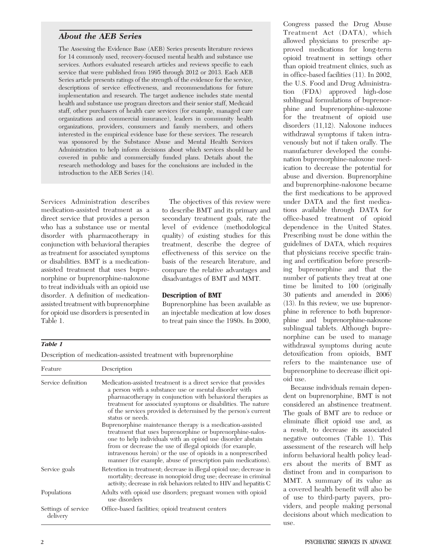#### About the AEB Series

The Assessing the Evidence Base (AEB) Series presents literature reviews for 14 commonly used, recovery-focused mental health and substance use services. Authors evaluated research articles and reviews specific to each service that were published from 1995 through 2012 or 2013. Each AEB Series article presents ratings of the strength of the evidence for the service, descriptions of service effectiveness, and recommendations for future implementation and research. The target audience includes state mental health and substance use program directors and their senior staff, Medicaid staff, other purchasers of health care services (for example, managed care organizations and commercial insurance), leaders in community health organizations, providers, consumers and family members, and others interested in the empirical evidence base for these services. The research was sponsored by the Substance Abuse and Mental Health Services Administration to help inform decisions about which services should be covered in public and commercially funded plans. Details about the research methodology and bases for the conclusions are included in the introduction to the AEB Series (14).

Services Administration describes medication-assisted treatment as a direct service that provides a person who has a substance use or mental disorder with pharmacotherapy in conjunction with behavioral therapies as treatment for associated symptoms or disabilities. BMT is a medicationassisted treatment that uses buprenorphine or buprenorphine-naloxone to treat individuals with an opioid use disorder. A definition of medicationassisted treatment with buprenorphine for opioid use disorders is presented in Table 1.

The objectives of this review were to describe BMT and its primary and secondary treatment goals, rate the level of evidence (methodological quality) of existing studies for this treatment, describe the degree of effectiveness of this service on the basis of the research literature, and compare the relative advantages and disadvantages of BMT and MMT.

#### Description of BMT

Buprenorphine has been available as an injectable medication at low doses to treat pain since the 1980s. In 2000,

#### Table 1

Description of medication-assisted treatment with buprenorphine

| Feature                         | Description                                                                                                                                                                                                                                                                                                                                                                                                                                                                                                                                                                                                                                                                                                                            |
|---------------------------------|----------------------------------------------------------------------------------------------------------------------------------------------------------------------------------------------------------------------------------------------------------------------------------------------------------------------------------------------------------------------------------------------------------------------------------------------------------------------------------------------------------------------------------------------------------------------------------------------------------------------------------------------------------------------------------------------------------------------------------------|
| Service definition              | Medication-assisted treatment is a direct service that provides<br>a person with a substance use or mental disorder with<br>pharmacotherapy in conjunction with behavioral therapies as<br>treatment for associated symptoms or disabilities. The nature<br>of the services provided is determined by the person's current<br>status or needs.<br>Buprenorphine maintenance therapy is a medication-assisted<br>treatment that uses buprenorphine or buprenorphine-nalox-<br>one to help individuals with an opioid use disorder abstain<br>from or decrease the use of illegal opioids (for example,<br>intravenous heroin) or the use of opioids in a nonprescribed<br>manner (for example, abuse of prescription pain medications). |
| Service goals                   | Retention in treatment; decrease in illegal opioid use; decrease in<br>mortality; decrease in nonopioid drug use; decrease in criminal<br>activity; decrease in risk behaviors related to HIV and hepatitis C                                                                                                                                                                                                                                                                                                                                                                                                                                                                                                                          |
| Populations                     | Adults with opioid use disorders; pregnant women with opioid<br>use disorders                                                                                                                                                                                                                                                                                                                                                                                                                                                                                                                                                                                                                                                          |
| Settings of service<br>delivery | Office-based facilities; opioid treatment centers                                                                                                                                                                                                                                                                                                                                                                                                                                                                                                                                                                                                                                                                                      |

Congress passed the Drug Abuse Treatment Act (DATA), which allowed physicians to prescribe approved medications for long-term opioid treatment in settings other than opioid treatment clinics, such as in office-based facilities (11). In 2002, the U.S. Food and Drug Administration (FDA) approved high-dose sublingual formulations of buprenorphine and buprenorphine-naloxone for the treatment of opioid use disorders (11,12). Naloxone induces withdrawal symptoms if taken intravenously but not if taken orally. The manufacturer developed the combination buprenorphine-naloxone medication to decrease the potential for abuse and diversion. Buprenorphine and buprenorphine-naloxone became the first medications to be approved under DATA and the first medications available through DATA for office-based treatment of opioid dependence in the United States. Prescribing must be done within the guidelines of DATA, which requires that physicians receive specific training and certification before prescribing buprenorphine and that the number of patients they treat at one time be limited to 100 (originally 30 patients and amended in 2006) (13). In this review, we use buprenorphine in reference to both buprenorphine and buprenorphine-naloxone sublingual tablets. Although buprenorphine can be used to manage withdrawal symptoms during acute detoxification from opioids, BMT refers to the maintenance use of buprenorphine to decrease illicit opioid use.

Because individuals remain dependent on buprenorphine, BMT is not considered an abstinence treatment. The goals of BMT are to reduce or eliminate illicit opioid use and, as a result, to decrease its associated negative outcomes (Table 1). This assessment of the research will help inform behavioral health policy leaders about the merits of BMT as distinct from and in comparison to MMT. A summary of its value as a covered health benefit will also be of use to third-party payers, providers, and people making personal decisions about which medication to use.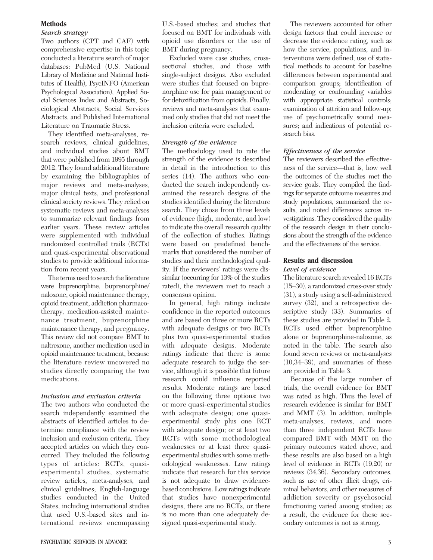#### Methods

#### Search strategy

Two authors (CPT and CAF) with comprehensive expertise in this topic conducted a literature search of major databases: PubMed (U.S. National Library of Medicine and National Institutes of Health), PsycINFO (American Psychological Association), Applied Social Sciences Index and Abstracts, Sociological Abstracts, Social Services Abstracts, and Published International Literature on Traumatic Stress.

They identified meta-analyses, research reviews, clinical guidelines, and individual studies about BMT that were published from 1995 through 2012. They found additional literature by examining the bibliographies of major reviews and meta-analyses, major clinical texts, and professional clinical society reviews. They relied on systematic reviews and meta-analyses to summarize relevant findings from earlier years. These review articles were supplemented with individual randomized controlled trails (RCTs) and quasi-experimental observational studies to provide additional information from recent years.

The terms used to search the literature were buprenorphine, buprenorphine/ naloxone, opioid maintenance therapy, opioid treatment, addiction pharmacotherapy, medication-assisted maintenance treatment, buprenorphine maintenance therapy, and pregnancy. This review did not compare BMT to naltrexone, another medication used in opioid maintenance treatment, because the literature review uncovered no studies directly comparing the two medications.

#### Inclusion and exclusion criteria

The two authors who conducted the search independently examined the abstracts of identified articles to determine compliance with the review inclusion and exclusion criteria. They accepted articles on which they concurred. They included the following types of articles: RCTs, quasiexperimental studies, systematic review articles, meta-analyses, and clinical guidelines; English-language studies conducted in the United States, including international studies that used U.S.-based sites and international reviews encompassing

Excluded were case studies, crosssectional studies, and those with single-subject designs. Also excluded were studies that focused on buprenorphine use for pain management or for detoxification from opioids. Finally, reviews and meta-analyses that examined only studies that did not meet the inclusion criteria were excluded.

#### Strength of the evidence

The methodology used to rate the strength of the evidence is described in detail in the introduction to this series (14). The authors who conducted the search independently examined the research designs of the studies identified during the literature search. They chose from three levels of evidence (high, moderate, and low) to indicate the overall research quality of the collection of studies. Ratings were based on predefined benchmarks that considered the number of studies and their methodological quality. If the reviewers' ratings were dissimilar (occurring for 13% of the studies rated), the reviewers met to reach a consensus opinion.

In general, high ratings indicate confidence in the reported outcomes and are based on three or more RCTs with adequate designs or two RCTs plus two quasi-experimental studies with adequate designs. Moderate ratings indicate that there is some adequate research to judge the service, although it is possible that future research could influence reported results. Moderate ratings are based on the following three options: two or more quasi-experimental studies with adequate design; one quasiexperimental study plus one RCT with adequate design; or at least two RCTs with some methodological weaknesses or at least three quasiexperimental studies with some methodological weaknesses. Low ratings indicate that research for this service is not adequate to draw evidencebased conclusions. Low ratings indicate that studies have nonexperimental designs, there are no RCTs, or there is no more than one adequately designed quasi-experimental study.

The reviewers accounted for other design factors that could increase or decrease the evidence rating, such as how the service, populations, and interventions were defined; use of statistical methods to account for baseline differences between experimental and comparison groups; identification of moderating or confounding variables with appropriate statistical controls; examination of attrition and follow-up; use of psychometrically sound measures; and indications of potential research bias.

#### Effectiveness of the service

The reviewers described the effectiveness of the service—that is, how well the outcomes of the studies met the service goals. They compiled the findings for separate outcome measures and study populations, summarized the results, and noted differences across investigations. They considered the quality of the research design in their conclusions about the strength of the evidence and the effectiveness of the service.

#### Results and discussion

#### Level of evidence

The literature search revealed 16 RCTs (15–30), a randomized cross-over study (31), a study using a self-administered survey (32), and a retrospective descriptive study (33). Summaries of these studies are provided in Table 2. RCTs used either buprenorphine alone or buprenorphine-naloxone, as noted in the table. The search also found seven reviews or meta-analyses (10,34–39), and summaries of these are provided in Table 3.

Because of the large number of trials, the overall evidence for BMT was rated as high. Thus the level of research evidence is similar for BMT and MMT (3). In addition, multiple meta-analyses, reviews, and more than three independent RCTs have compared BMT with MMT on the primary outcomes stated above, and these results are also based on a high level of evidence in RCTs (19,20) or reviews (34,36). Secondary outcomes, such as use of other illicit drugs, criminal behaviors, and other measures of addiction severity or psychosocial functioning varied among studies; as a result, the evidence for these secondary outcomes is not as strong.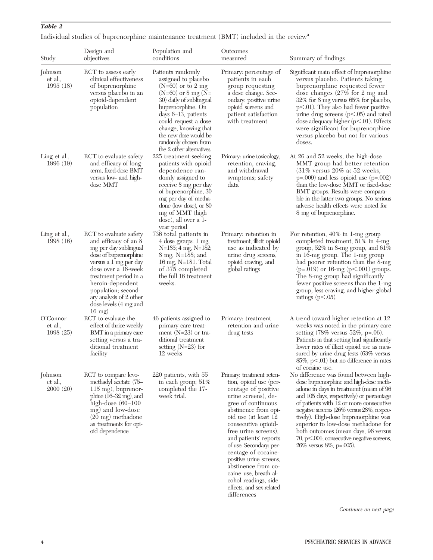| Study                           | Design and<br>objectives                                                                                                                                                                                                                                                                    | Population and<br>conditions                                                                                                                                                                                                                                                                   | Outcomes<br>measured                                                                                                                                                                                                                                                                                                                                                                                 | Summary of findings                                                                                                                                                                                                                                                                                                                                                                                                                                                |
|---------------------------------|---------------------------------------------------------------------------------------------------------------------------------------------------------------------------------------------------------------------------------------------------------------------------------------------|------------------------------------------------------------------------------------------------------------------------------------------------------------------------------------------------------------------------------------------------------------------------------------------------|------------------------------------------------------------------------------------------------------------------------------------------------------------------------------------------------------------------------------------------------------------------------------------------------------------------------------------------------------------------------------------------------------|--------------------------------------------------------------------------------------------------------------------------------------------------------------------------------------------------------------------------------------------------------------------------------------------------------------------------------------------------------------------------------------------------------------------------------------------------------------------|
| Johnson<br>et al.,<br>1995(18)  | RCT to assess early<br>clinical effectiveness<br>of buprenorphine<br>versus placebo in an<br>opioid-dependent<br>population                                                                                                                                                                 | Patients randomly<br>assigned to placebo<br>$(N=60)$ or to 2 mg<br>$(N=60)$ or 8 mg $(N=$<br>30) daily of sublingual<br>buprenorphine. On<br>days 6-13, patients<br>could request a dose<br>change, knowing that<br>the new dose would be<br>randomly chosen from<br>the 2 other alternatives. | Primary: percentage of<br>patients in each<br>group requesting<br>a dose change. Sec-<br>ondary: positive urine<br>opioid screens and<br>patient satisfaction<br>with treatment                                                                                                                                                                                                                      | Significant main effect of buprenorphine<br>versus placebo. Patients taking<br>buprenorphine requested fewer<br>dose changes $(27\% \text{ for } 2 \text{ mg and})$<br>32% for 8 mg versus 65% for placebo,<br>$p<.01$ ). They also had fewer positive<br>urine drug screens $(p<.05)$ and rated<br>dose adequacy higher $(p<.01)$ . Effects<br>were significant for buprenorphine<br>versus placebo but not for various<br>doses.                                 |
| Ling et al.,<br>1996(19)        | RCT to evaluate safety<br>and efficacy of long-<br>term, fixed-dose BMT<br>versus low- and high-<br>dose MMT                                                                                                                                                                                | 225 treatment-seeking<br>patients with opioid<br>dependence ran-<br>domly assigned to<br>receive 8 mg per day<br>of buprenorphine, 30<br>mg per day of metha-<br>done (low dose), or 80<br>mg of MMT (high<br>dose), all over a 1-<br>year period                                              | Primary: urine toxicology,<br>retention, craving,<br>and withdrawal<br>symptoms; safety<br>data                                                                                                                                                                                                                                                                                                      | At 26 and 52 weeks, the high-dose<br>MMT group had better retention<br>$(31\%$ versus 20% at 52 weeks,<br>$p=.009$ ) and less opioid use ( $p=.002$ )<br>than the low-dose MMT or fixed-dose<br>BMT groups. Results were compara-<br>ble in the latter two groups. No serious<br>adverse health effects were noted for<br>8 mg of buprenorphine.                                                                                                                   |
| Ling et al.,<br>1998(16)        | RCT to evaluate safety<br>and efficacy of an 8<br>mg per day sublingual<br>dose of buprenorphine<br>versus a 1 mg per day<br>dose over a 16-week<br>treatment period in a<br>heroin-dependent<br>population; second-<br>ary analysis of 2 other<br>dose levels (4 mg and<br>$16 \text{ mg}$ | 736 total patients in<br>4 dose groups: 1 mg,<br>$N=185$ ; 4 mg, $N=182$ ;<br>8 mg, N=188; and<br>16 mg, N=181. Total<br>of 375 completed<br>the full 16 treatment<br>weeks.                                                                                                                   | Primary: retention in<br>treatment, illicit opioid<br>use as indicated by<br>urine drug screens,<br>opioid craving, and<br>global ratings                                                                                                                                                                                                                                                            | For retention, $40\%$ in 1-mg group<br>completed treatment, 51% in 4-mg<br>group, $52\%$ in 8-mg group, and $61\%$<br>in 16-mg group. The 1-mg group<br>had poorer retention than the 8-mg<br>$(p=.019)$ or 16-mg $(p<.001)$ groups.<br>The 8-mg group had significantly<br>fewer positive screens than the 1-mg<br>group, less craving, and higher global<br>ratings ( $p<.05$ ).                                                                                 |
| O'Connor<br>et al.,<br>1998(25) | RCT to evaluate the<br>effect of thrice weekly<br>BMT in a primary care<br>setting versus a tra-<br>ditional treatment<br>facility                                                                                                                                                          | 46 patients assigned to<br>primary care treat-<br>ment $(N=23)$ or tra-<br>ditional treatment<br>setting $(N=23)$ for<br>12 weeks                                                                                                                                                              | Primary: treatment<br>retention and urine<br>drug tests                                                                                                                                                                                                                                                                                                                                              | A trend toward higher retention at 12<br>weeks was noted in the primary care<br>setting $(78\% \text{ versus } 52\%, \text{ p} = .06)$ .<br>Patients in that setting had significantly<br>lower rates of illicit opioid use as mea-<br>sured by urine drug tests (63% versus<br>85%, p<.01) but no difference in rates<br>of cocaine use.                                                                                                                          |
| Johnson<br>et al.,<br>2000(20)  | RCT to compare levo-<br>methadyl acetate (75-<br>$115 \text{ mg}$ , buprenor-<br>phine $(16-32 \text{ mg})$ , and<br>high-dose $(60-100)$<br>mg) and low-dose<br>$(20 \text{ mg})$ methadone<br>as treatments for opi-<br>oid dependence                                                    | 220 patients, with 55<br>in each group; $51\%$<br>completed the 17-<br>week trial.                                                                                                                                                                                                             | Primary: treatment reten-<br>tion, opioid use (per-<br>centage of positive<br>urine screens), de-<br>gree of continuous<br>abstinence from opi-<br>oid use (at least 12<br>consecutive opioid-<br>free urine screens),<br>and patients' reports<br>of use. Secondary: per-<br>centage of cocaine-<br>positive urine screens,<br>abstinence from co-<br>caine use, breath al-<br>cohol readings, side | No difference was found between high-<br>dose buprenorphine and high-dose meth-<br>adone in days in treatment (mean of 96<br>and 105 days, respectively) or percentage<br>of patients with 12 or more consecutive<br>negative screens (26% versus 28%, respec-<br>tively). High-dose buprenorphine was<br>superior to low-dose methadone for<br>both outcomes (mean days, 96 versus<br>70, p<.001; consecutive negative screens,<br>$26\%$ versus $8\%$ , p=.005). |

effects, and sex-related differences

## Individual studies of buprenorphine maintenance treatment  $\left( \mathrm{BMT}\right)$  included in the review  $\!$

Continues on next page

Table 2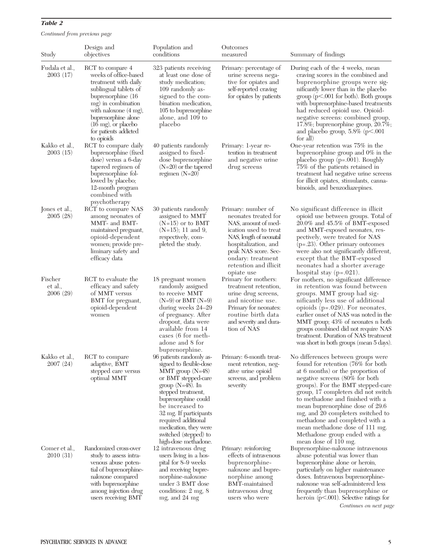Continued from previous page

| Study                          | Design and<br>objectives                                                                                                                                                                                                                                                   | Population and<br>conditions                                                                                                                                                                                                                                                                                     | Outcomes<br>measured                                                                                                                                                                                                              | Summary of findings                                                                                                                                                                                                                                                                                                                                                                                                                                                |
|--------------------------------|----------------------------------------------------------------------------------------------------------------------------------------------------------------------------------------------------------------------------------------------------------------------------|------------------------------------------------------------------------------------------------------------------------------------------------------------------------------------------------------------------------------------------------------------------------------------------------------------------|-----------------------------------------------------------------------------------------------------------------------------------------------------------------------------------------------------------------------------------|--------------------------------------------------------------------------------------------------------------------------------------------------------------------------------------------------------------------------------------------------------------------------------------------------------------------------------------------------------------------------------------------------------------------------------------------------------------------|
| Fudala et al.,<br>2003(17)     | RCT to compare 4<br>weeks of office-based<br>treatment with daily<br>sublingual tablets of<br>buprenorphine (16)<br>mg) in combination<br>with naloxone $(4 \text{ mg})$ ,<br>buprenorphine alone<br>$(16 \text{ mg})$ , or placebo<br>for patients addicted<br>to opioids | 323 patients receiving<br>at least one dose of<br>study medication;<br>109 randomly as-<br>signed to the com-<br>bination medication,<br>105 to buprenorphine<br>alone, and 109 to<br>placebo                                                                                                                    | Primary: percentage of<br>urine screens nega-<br>tive for opiates and<br>self-reported craving<br>for opiates by patients                                                                                                         | During each of the 4 weeks, mean<br>craving scores in the combined and<br>buprenorphine groups were sig-<br>nificantly lower than in the placebo<br>$group (p<.001 for both)$ . Both groups<br>with buprenorphine-based treatments<br>had reduced opioid use. Opioid-<br>negative screens: combined group,<br>17.8%; buprenorphine group, 20.7%;<br>and placebo group, $5.8\%$ ( $p<.001$<br>for all)                                                              |
| Kakko et al.,<br>2003(15)      | RCT to compare daily<br>buprenorphine (fixed<br>dose) versus a 6-day<br>tapered regimen of<br>buprenorphine fol-<br>lowed by placebo;<br>12-month program<br>combined with<br>psychotherapy                                                                                | 40 patients randomly<br>assigned to fixed-<br>dose buprenorphine<br>$(N=20)$ or the tapered<br>regimen $(N=20)$                                                                                                                                                                                                  | Primary: 1-year re-<br>tention in treatment<br>and negative urine<br>drug screens                                                                                                                                                 | One-year retention was 75% in the<br>buprenorphine group and 0% in the<br>placebo group $(p=.001)$ . Roughly<br>75% of the patients retained in<br>treatment had negative urine screens<br>for illicit opiates, stimulants, canna-<br>binoids, and benzodiazepines.                                                                                                                                                                                                |
| Jones et al.,<br>2005(28)      | RCT to compare NAS<br>among neonates of<br>MMT- and BMT-<br>maintained pregnant,<br>opioid-dependent<br>women; provide pre-<br>liminary safety and<br>efficacy data                                                                                                        | 30 patients randomly<br>assigned to MMT<br>$(N=15)$ or to BMT<br>$(N=15)$ ; 11 and 9,<br>respectively, com-<br>pleted the study.                                                                                                                                                                                 | Primary: number of<br>neonates treated for<br>NAS, amount of med-<br>ication used to treat<br>NAS, length of neonatal<br>hospitalization, and<br>peak NAS score. Sec-<br>ondary: treatment<br>retention and illicit<br>opiate use | No significant difference in illicit<br>opioid use between groups. Total of<br>$20.0\%$ and $45.5\%$ of BMT-exposed<br>and MMT-exposed neonates, res-<br>pectively, were treated for NAS<br>$(p=.23)$ . Other primary outcomes<br>were also not significantly different,<br>except that the BMT-exposed<br>neonates had a shorter average<br>hospital stay $(p=.021)$ .                                                                                            |
| Fischer<br>et al.,<br>2006(29) | RCT to evaluate the<br>efficacy and safety<br>of MMT versus<br>BMT for pregnant,<br>opioid-dependent<br>women                                                                                                                                                              | 18 pregnant women<br>randomly assigned<br>to receive MMT<br>$(N=9)$ or BMT $(N=9)$<br>during weeks 24–29<br>of pregnancy. After<br>dropout, data were<br>available from 14<br>cases (6 for meth-<br>adone and 8 for<br>buprenorphine.                                                                            | Primary for mothers:<br>treatment retention,<br>urine drug screens,<br>and nicotine use.<br>Primary for neonates:<br>routine birth data<br>and severity and dura-<br>tion of NAS                                                  | For mothers, no significant difference<br>in retention was found between<br>groups. MMT group had sig-<br>nificantly less use of additional<br>opioids $(p=.029)$ . For neonates,<br>earlier onset of NAS was noted in the<br>MMT group; 43% of neonates n both<br>groups combined did not require NAS<br>treatment. Duration of NAS treatment<br>was short in both groups (mean 5 days).                                                                          |
| Kakko et al.,<br>2007(24)      | RCT to compare<br>adaptive, BMT<br>stepped care versus<br>optimal MMT                                                                                                                                                                                                      | 96 patients randomly as-<br>signed to flexible-dose<br>MMT group (N=48)<br>or BMT stepped-care<br>group $(N=48)$ . In<br>stepped treatment,<br>buprenorphine could<br>be increased to<br>32 mg. If participants<br>required additional<br>medication, they were<br>switched (stepped) to<br>high-dose methadone. | Primary: 6-month treat-<br>ment retention, neg-<br>ative urine opioid<br>screens, and problem<br>severity                                                                                                                         | No differences between groups were<br>found for retention (76% for both<br>at 6 months) or the proportion of<br>negative screens (80% for both<br>groups). For the BMT stepped-care<br>group, 17 completers did not switch<br>to methadone and finished with a<br>mean buprenorphine dose of 29.6<br>mg, and 20 completers switched to<br>methadone and completed with a<br>mean methadone dose of 111 mg.<br>Methadone group ended with a<br>mean dose of 110 mg. |
| Comer et al.,<br>2010(31)      | Randomized cross-over<br>study to assess intra-<br>venous abuse poten-<br>tial of buprenorphine-<br>naloxone compared<br>with buprenorphine<br>among injection drug<br>users receiving BMT                                                                                 | 12 intravenous drug<br>users living in a hos-<br>pital for 8–9 weeks<br>and receiving bupre-<br>norphine-naloxone<br>under 3 BMT dose<br>conditions: 2 mg, 8<br>mg, and 24 mg                                                                                                                                    | Primary: reinforcing<br>effects of intravenous<br>buprenorphine-<br>naloxone and bupre-<br>norphine among<br>BMT-maintained<br>intravenous drug<br>users who were                                                                 | Buprenorphine-naloxone intravenous<br>abuse potential was lower than<br>buprenorphine alone or heroin,<br>particularly on higher maintenance<br>doses. Intravenous buprenorphine-<br>naloxone was self-administered less<br>frequently than buprenorphine or<br>heroin $(p<.001)$ . Selective ratings for<br>Continues on next page                                                                                                                                |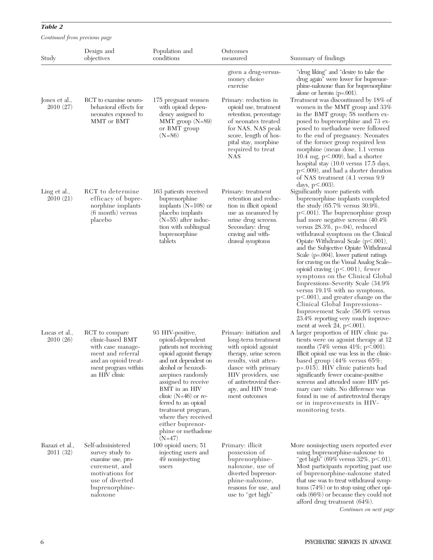Continued from previous page

| Study                       | Design and<br>objectives                                                                                                                       | Population and<br>conditions                                                                                                                                                                                                                                                                                                                 | Outcomes<br>measured                                                                                                                                                                                                                                        | Summary of findings                                                                                                                                                                                                                                                                                                                                                                                                                                                                                                                                                                                                                                                                                                                           |
|-----------------------------|------------------------------------------------------------------------------------------------------------------------------------------------|----------------------------------------------------------------------------------------------------------------------------------------------------------------------------------------------------------------------------------------------------------------------------------------------------------------------------------------------|-------------------------------------------------------------------------------------------------------------------------------------------------------------------------------------------------------------------------------------------------------------|-----------------------------------------------------------------------------------------------------------------------------------------------------------------------------------------------------------------------------------------------------------------------------------------------------------------------------------------------------------------------------------------------------------------------------------------------------------------------------------------------------------------------------------------------------------------------------------------------------------------------------------------------------------------------------------------------------------------------------------------------|
| Jones et al.,<br>2010 (27)  | RCT to examine neuro-<br>behavioral effects for<br>neonates exposed to<br>MMT or BMT                                                           | 175 pregnant women<br>with opioid depen-<br>dency assigned to<br>MMT group $(N=89)$<br>or BMT group<br>$(N=86)$                                                                                                                                                                                                                              | given a drug-versus-<br>money choice<br>exercise<br>Primary: reduction in<br>opioid use, treatment<br>retention, percentage<br>of neonates treated<br>for NAS, NAS peak<br>score, length of hos-<br>pital stay, morphine<br>required to treat<br><b>NAS</b> | "drug liking" and "desire to take the<br>drug again" were lower for buprenor-<br>phine-naloxone than for buprenorphine<br>alone or heroin $(p=.001)$ .<br>Treatment was discontinued by 18% of<br>women in the MMT group and 33%<br>in the BMT group; 58 mothers ex-<br>posed to buprenorphine and 73 ex-<br>posed to methadone were followed<br>to the end of pregnancy. Neonates<br>of the former group required less<br>morphine (mean dose, 1.1 versus<br>10.4 mg, $p<.009$ ), had a shorter<br>hospital stay (10.0 versus 17.5 days,<br>$p<.009$ ), and had a shorter duration<br>of NAS treatment (4.1 versus 9.9)<br>days, $p < .003$ ).                                                                                               |
| Ling et al.,<br>2010(21)    | RCT to determine<br>efficacy of bupre-<br>norphine implants<br>$(6 \text{ month})$ versus<br>placebo                                           | 163 patients received<br>buprenorphine<br>implants $(N=108)$ or<br>placebo implants<br>$(N=55)$ after induc-<br>tion with sublingual<br>buprenorphine<br>tablets                                                                                                                                                                             | Primary: treatment<br>retention and reduc-<br>tion in illicit opioid<br>use as measured by<br>urine drug screens.<br>Secondary: drug<br>craving and with-<br>drawal symptoms                                                                                | Significantly more patients with<br>buprenorphine implants completed<br>the study $(65.7\%$ versus 30.9%,<br>$p<.001$ ). The buprenorphine group<br>had more negative screens (40.4%)<br>versus $28.3\%$ , p=.04), reduced<br>withdrawal symptoms on the Clinical<br>Opiate Withdrawal Scale $(p<.001)$ ,<br>and the Subjective Opiate Withdrawal<br>Scale $(p=.004)$ , lower patient ratings<br>for craving on the Visual Analog Scale-<br>opioid craving $(p<.001)$ , fewer<br>symptoms on the Clinical Global<br>Impressions-Severity Scale (34.9%)<br>versus $19.1\%$ with no symptoms,<br>$p<.001$ ), and greater change on the<br>Clinical Global Impressions-<br>Improvement Scale (56.0% versus<br>23.4% reporting very much improve- |
| Lucas et al.,<br>2010 (26)  | RCT to compare<br>clinic-based BMT<br>with case manage-<br>ment and referral<br>and an opioid treat-<br>ment program within<br>an HIV clinic   | 93 HIV-positive,<br>opioid-dependent<br>patients not receiving<br>opioid agonist therapy<br>and not dependent on<br>alcohol or benzodi-<br>azepines randomly<br>assigned to receive<br>BMT in an HIV<br>clinic $(N=46)$ or re-<br>ferred to an opioid<br>treatment program,<br>where they received<br>either buprenor-<br>phine or methadone | Primary: initiation and<br>long-term treatment<br>with opioid agonist<br>therapy, urine screen<br>results, visit atten-<br>dance with primary<br>HIV providers, use<br>of antiretroviral ther-<br>apy, and HIV treat-<br>ment outcomes                      | ment at week $24$ , $p<.001$ ).<br>A larger proportion of HIV clinic pa-<br>tients were on agonist therapy at 12<br>months (74% versus 41%; $p<.001$ ).<br>Illicit opioid use was less in the clinic-<br>based group $(44\% \text{ versus } 65\%;$<br>p=.015). HIV clinic patients had<br>significantly fewer cocaine-positive<br>screens and attended more HIV pri-<br>mary care visits. No difference was<br>found in use of antiretroviral therapy<br>or in improvements in HIV-<br>monitoring tests.                                                                                                                                                                                                                                      |
| Bazazi et al.,<br>2011 (32) | Self-administered<br>survey study to<br>examine use, pro-<br>curement, and<br>motivations for<br>use of diverted<br>buprenorphine-<br>naloxone | $(N=47)$<br>$100$ opioid users; $51$<br>injecting users and<br>49 noninjecting<br>users                                                                                                                                                                                                                                                      | Primary: illicit<br>possession of<br>buprenorphine-<br>naloxone, use of<br>diverted buprenor-<br>phine-naloxone,<br>reasons for use, and<br>use to "get high"                                                                                               | More noninjecting users reported ever<br>using buprenorphine-naloxone to<br>"get high" (69% versus $32\%$ , p<.01).<br>Most participants reporting past use<br>of buprenorphine-naloxone stated<br>that use was to treat withdrawal symp-<br>toms $(74%)$ or to stop using other opi-<br>oids (66%) or because they could not<br>afford drug treatment $(64\%)$ .                                                                                                                                                                                                                                                                                                                                                                             |

Continues on next page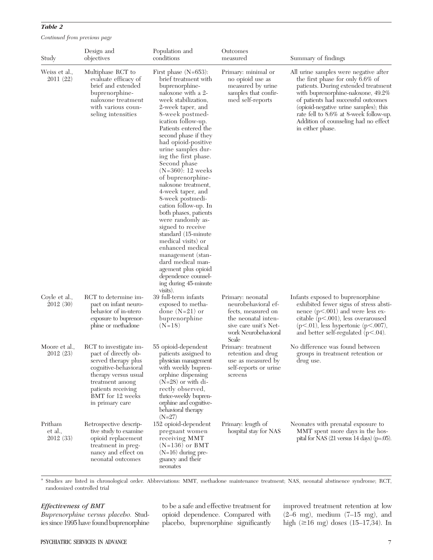| Study                          | Design and<br>objectives                                                                                                                                                                              | Population and<br>conditions                                                                                                                                                                                                                                                                                                                                                                                                                                                                                                                                                                                                                                                                                           | Outcomes<br>measured                                                                                                                   | Summary of findings                                                                                                                                                                                                                                                                                                                             |
|--------------------------------|-------------------------------------------------------------------------------------------------------------------------------------------------------------------------------------------------------|------------------------------------------------------------------------------------------------------------------------------------------------------------------------------------------------------------------------------------------------------------------------------------------------------------------------------------------------------------------------------------------------------------------------------------------------------------------------------------------------------------------------------------------------------------------------------------------------------------------------------------------------------------------------------------------------------------------------|----------------------------------------------------------------------------------------------------------------------------------------|-------------------------------------------------------------------------------------------------------------------------------------------------------------------------------------------------------------------------------------------------------------------------------------------------------------------------------------------------|
| Weiss et al.,<br>2011(22)      | Multiphase RCT to<br>evaluate efficacy of<br>brief and extended<br>buprenorphine-<br>naloxone treatment<br>with various coun-<br>seling intensities                                                   | First phase $(N=653)$ :<br>brief treatment with<br>buprenorphine-<br>naloxone with a 2-<br>week stabilization,<br>2-week taper, and<br>8-week postmed-<br>ication follow-up.<br>Patients entered the<br>second phase if they<br>had opioid-positive<br>urine samples dur-<br>ing the first phase.<br>Second phase<br>$(N=360): 12$ weeks<br>of buprenorphine-<br>naloxone treatment,<br>4-week taper, and<br>8-week postmedi-<br>cation follow-up. In<br>both phases, patients<br>were randomly as-<br>signed to receive<br>standard (15-minute)<br>medical visits) or<br>enhanced medical<br>management (stan-<br>dard medical man-<br>agement plus opioid<br>dependence counsel-<br>ing during 45-minute<br>visits). | Primary: minimal or<br>no opioid use as<br>measured by urine<br>samples that confir-<br>med self-reports                               | All urine samples were negative after<br>the first phase for only $6.6\%$ of<br>patients. During extended treatment<br>with buprenorphine-naloxone, 49.2%<br>of patients had successful outcomes<br>(opioid-negative urine samples); this<br>rate fell to 8.6% at 8-week follow-up.<br>Addition of counseling had no effect<br>in either phase. |
| Coyle et al.,<br>2012(30)      | RCT to determine im-<br>pact on infant neuro-<br>behavior of in-utero<br>exposure to buprenor-<br>phine or methadone                                                                                  | 39 full-term infants<br>exposed to metha-<br>done $(N=21)$ or<br>buprenorphine<br>$(N=18)$                                                                                                                                                                                                                                                                                                                                                                                                                                                                                                                                                                                                                             | Primary: neonatal<br>neurobehavioral ef-<br>fects, measured on<br>the neonatal inten-<br>sive care unit's Net-<br>work Neurobehavioral | Infants exposed to buprenorphine<br>exhibited fewer signs of stress absti-<br>nence $(p<.001)$ and were less ex-<br>citable $(p<.001)$ , less overaroused<br>$(p<.01)$ , less hypertonic $(p<.007)$ ,<br>and better self-regulated $(p<.04)$ .                                                                                                  |
| Moore et al.,<br>2012(23)      | RCT to investigate im-<br>pact of directly ob-<br>served therapy plus<br>cognitive-behavioral<br>therapy versus usual<br>treatment among<br>patients receiving<br>BMT for 12 weeks<br>in primary care | 55 opioid-dependent<br>patients assigned to<br>physician management<br>with weekly bupren-<br>orphine dispensing<br>$(N=28)$ or with di-<br>rectly observed,<br>thrice-weekly bupren-<br>orphine and cognitive-<br>behavioral therapy<br>$(N=27)$                                                                                                                                                                                                                                                                                                                                                                                                                                                                      | Scale<br>Primary: treatment<br>retention and drug<br>use as measured by<br>self-reports or urine<br>screens                            | No difference was found between<br>groups in treatment retention or<br>drug use.                                                                                                                                                                                                                                                                |
| Pritham<br>et al.,<br>2012(33) | Retrospective descrip-<br>tive study to examine<br>opioid replacement<br>treatment in preg-<br>nancy and effect on<br>neonatal outcomes                                                               | 152 opioid-dependent<br>pregnant women<br>receiving MMT<br>$(N=136)$ or BMT<br>$(N=16)$ during pre-<br>gnancy and their                                                                                                                                                                                                                                                                                                                                                                                                                                                                                                                                                                                                | Primary: length of<br>hospital stay for NAS                                                                                            | Neonates with prenatal exposure to<br>MMT spent more days in the hos-<br>pital for NAS $(21 \text{ versus } 14 \text{ days})$ (p=.05).                                                                                                                                                                                                          |

Continued from previous page

a Studies are listed in chronological order. Abbreviations: MMT, methadone maintenance treatment; NAS, neonatal abstinence syndrome; RCT, randomized controlled trial

neonates

#### Effectiveness of BMT

Buprenorphine versus placebo. Studies since 1995 have found buprenorphine to be a safe and effective treatment for opioid dependence. Compared with placebo, buprenorphine significantly improved treatment retention at low  $(2-6$  mg), medium  $(7-15$  mg), and high  $(\geq 16 \text{ mg})$  doses  $(15-17,34)$ . In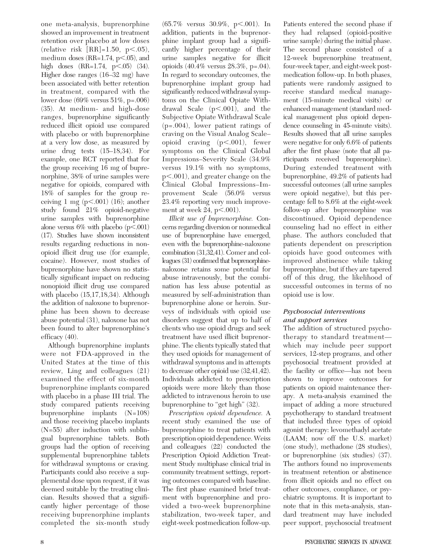one meta-analysis, buprenorphine showed an improvement in treatment retention over placebo at low doses (relative risk  $[RR]=1.50, p<.05$ ), medium doses (RR= $1.74$ , p $<.05$ ), and high doses  $(RR=1.74, p<.05)$  (34). Higher dose ranges (16–32 mg) have been associated with better retention in treatment, compared with the lower dose (69% versus 51%, p=.006) (35). At medium- and high-dose ranges, buprenorphine significantly reduced illicit opioid use compared with placebo or with buprenorphine at a very low dose, as measured by urine drug tests (15–18,34). For example, one RCT reported that for the group receiving 16 mg of buprenorphine, 38% of urine samples were negative for opioids, compared with 18% of samples for the group receiving 1 mg  $(p<.001)$  (16); another study found 21% opioid-negative urine samples with buprenorphine alone versus  $6\%$  with placebo ( $p<.001$ ) (17). Studies have shown inconsistent results regarding reductions in nonopioid illicit drug use (for example, cocaine). However, most studies of buprenorphine have shown no statistically significant impact on reducing nonopioid illicit drug use compared with placebo (15,17,18,34). Although the addition of naloxone to buprenorphine has been shown to decrease abuse potential (31), naloxone has not been found to alter buprenorphine's efficacy (40).

Although buprenorphine implants were not FDA-approved in the United States at the time of this review, Ling and colleagues (21) examined the effect of six-month buprenorphine implants compared with placebo in a phase III trial. The study compared patients receiving buprenorphine implants (N=108) and those receiving placebo implants (N=55) after induction with sublingual buprenorphine tablets. Both groups had the option of receiving supplemental buprenorphine tablets for withdrawal symptoms or craving. Participants could also receive a supplemental dose upon request, if it was deemed suitable by the treating clinician. Results showed that a significantly higher percentage of those receiving buprenorphine implants completed the six-month study  $(65.7\%$  versus 30.9%, p<.001). In addition, patients in the buprenorphine implant group had a significantly higher percentage of their urine samples negative for illicit opioids (40.4% versus 28.3%, p=.04). In regard to secondary outcomes, the buprenorphine implant group had significantly reduced withdrawal symptoms on the Clinical Opiate Withdrawal Scale  $(p<.001)$ , and the Subjective Opiate Withdrawal Scale (p=.004), lower patient ratings of craving on the Visual Analog Scale– opioid craving (p<.001), fewer symptoms on the Clinical Global Impressions–Severity Scale (34.9% versus 19.1% with no symptoms, p<.001), and greater change on the Clinical Global Impressions–Improvement Scale (56.0% versus 23.4% reporting very much improvement at week  $24$ ,  $p<.001$ ).

Illicit use of buprenorphine. Concerns regarding diversion or nonmedical use of buprenorphine have emerged, even with the buprenorphine-naloxone combination (31,32,41). Comer and colleagues (31) confirmed that buprenorphinenaloxone retains some potential for abuse intravenously, but the combination has less abuse potential as measured by self-administration than buprenorphine alone or heroin. Surveys of individuals with opioid use disorders suggest that up to half of clients who use opioid drugs and seek treatment have used illicit buprenorphine. The clients typically stated that they used opioids for management of withdrawal symptoms and in attempts to decrease other opioid use (32,41,42). Individuals addicted to prescription opioids were more likely than those addicted to intravenous heroin to use buprenorphine to "get high" (32).

Prescription opioid dependence. A recent study examined the use of buprenorphine to treat patients with prescription opioid dependence. Weiss and colleagues (22) conducted the Prescription Opioid Addiction Treatment Study multiphase clinical trial in community treatment settings, reporting outcomes compared with baseline. The first phase examined brief treatment with buprenorphine and provided a two-week buprenorphine stabilization, two-week taper, and eight-week postmedication follow-up. Patients entered the second phase if they had relapsed (opioid-positive urine sample) during the initial phase. The second phase consisted of a 12-week buprenorphine treatment, four-week taper, and eight-week postmedication follow-up. In both phases, patients were randomly assigned to receive standard medical management (15-minute medical visits) or enhanced management (standard medical management plus opioid dependence counseling in 45-minute visits). Results showed that all urine samples were negative for only 6.6% of patients after the first phase (note that all participants received buprenorphine). During extended treatment with buprenorphine, 49.2% of patients had successful outcomes (all urine samples were opioid negative), but this percentage fell to 8.6% at the eight-week follow-up after buprenorphine was discontinued. Opioid dependence counseling had no effect in either phase. The authors concluded that patients dependent on prescription opioids have good outcomes with improved abstinence while taking buprenorphine, but if they are tapered off of this drug, the likelihood of successful outcomes in terms of no opioid use is low.

#### Psychosocial interventions and support services

The addition of structured psychotherapy to standard treatment which may include peer support services, 12-step programs, and other psychosocial treatment provided at the facility or office—has not been shown to improve outcomes for patients on opioid maintenance therapy. A meta-analysis examined the impact of adding a more structured psychotherapy to standard treatment that included three types of opioid agonist therapy: levomethadyl acetate (LAAM; now off the U.S. market) (one study), methadone (28 studies), or buprenorphine (six studies) (37). The authors found no improvements in treatment retention or abstinence from illicit opioids and no effect on other outcomes, compliance, or psychiatric symptoms. It is important to note that in this meta-analysis, standard treatment may have included peer support, psychosocial treatment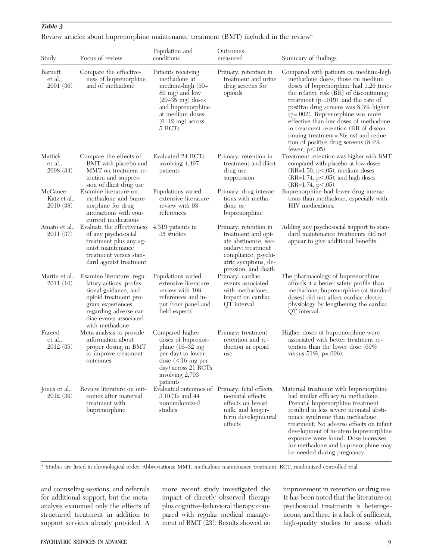| Study                                | Focus of review                                                                                                                                                                                 | Population and<br>conditions                                                                                                                                                           | Outcomes<br>measured                                                                                                                                          | Summary of findings                                                                                                                                                                                                                                                                                                                                                                                                                                                               |
|--------------------------------------|-------------------------------------------------------------------------------------------------------------------------------------------------------------------------------------------------|----------------------------------------------------------------------------------------------------------------------------------------------------------------------------------------|---------------------------------------------------------------------------------------------------------------------------------------------------------------|-----------------------------------------------------------------------------------------------------------------------------------------------------------------------------------------------------------------------------------------------------------------------------------------------------------------------------------------------------------------------------------------------------------------------------------------------------------------------------------|
| Barnett<br>et al.,<br>2001(36)       | Compare the effective-<br>ness of buprenorphine<br>and of methadone                                                                                                                             | Patients receiving<br>methadone at<br>medium-high (50–<br>80 mg) and low<br>$(20-35 \text{ mg})$ doses<br>and buprenorphine<br>at medium doses<br>$(6-12 \text{ mg})$ across<br>5 RCTs | Primary: retention in<br>treatment and urine<br>drug screens for<br>opioids                                                                                   | Compared with patients on medium-high<br>methadone doses, those on medium<br>doses of buprenorphine had 1.26 times<br>the relative risk (RR) of discontinuing<br>treatment $(p=.019)$ , and the rate of<br>positive drug screens was 8.3% higher<br>$(p=.002)$ . Buprenorphine was more<br>effective than low doses of methadone<br>in treatment retention (RR of discon-<br>tinuing treatment=.86; ns) and reduc-<br>tion of positive drug screens $(8.4\%$<br>fewer, $p<.05$ ). |
| Mattick<br>et al.,<br>2008(34)       | Compare the effects of<br>BMT with placebo and<br>MMT on treatment re-<br>tention and suppres-<br>sion of illicit drug use                                                                      | Evaluated 24 RCTs<br>involving 4,497<br>patients                                                                                                                                       | Primary: retention in<br>treatment and illicit<br>drug use<br>suppression                                                                                     | Treatment retention was higher with BMT<br>compared with placebo at low doses<br>$(RR=1.50, p<.05)$ , medium doses<br>$(RR=1.74, p<.05)$ , and high doses<br>$(RR=1.74, p<.05)$ .                                                                                                                                                                                                                                                                                                 |
| McCance-<br>Katz et al.,<br>2010(38) | Examine literature on<br>methadone and bupre-<br>norphine for drug<br>interactions with con-<br>current medications                                                                             | Populations varied;<br>extensive literature<br>review with 93<br>references                                                                                                            | Primary: drug interac-<br>tions with metha-<br>done or<br>buprenorphine                                                                                       | Buprenorphine had fewer drug interac-<br>tions than methadone, especially with<br>HIV medications.                                                                                                                                                                                                                                                                                                                                                                                |
| Amato et al.,<br>2011(37)            | Evaluate the effectiveness<br>of any psychosocial<br>treatment plus any ag-<br>onist maintenance<br>treatment versus stan-<br>dard agonist treatment                                            | 4,319 patients in<br>35 studies                                                                                                                                                        | Primary: retention in<br>treatment and opi-<br>ate abstinence; sec-<br>ondary: treatment<br>compliance, psychi-<br>atric symptoms, de-<br>pression, and death | Adding any psychosocial support to stan-<br>dard maintenance treatments did not<br>appear to give additional benefits.                                                                                                                                                                                                                                                                                                                                                            |
| Martin et al.,<br>2011(10)           | Examine literature, regu-<br>latory actions, profes-<br>sional guidance, and<br>opioid treatment pro-<br>gram experiences<br>regarding adverse car-<br>diac events associated<br>with methadone | Populations varied;<br>extensive literature<br>review with 108<br>references and in-<br>put from panel and<br>field experts                                                            | Primary: cardiac<br>events associated<br>with methadone;<br>impact on cardiac<br>QT interval                                                                  | The pharmacology of buprenorphine<br>affords it a better safety profile than<br>methadone; buprenorphine (at standard<br>doses) did not affect cardiac electro-<br>physiology by lengthening the cardiac<br>QT interval.                                                                                                                                                                                                                                                          |
| Fareed<br>et al.,<br>2012(35)        | Meta-analysis to provide<br>information about<br>proper dosing in BMT<br>to improve treatment<br>outcomes                                                                                       | Compared higher<br>doses of buprenor-<br>phine $(16-32$ mg<br>per day) to lower<br>dose $(<16$ mg per<br>day) across 21 RCTs<br>involving 2,703<br>patients                            | Primary: treatment<br>retention and re-<br>duction in opioid<br>use                                                                                           | Higher doses of buprenorphine were<br>associated with better treatment re-<br>tention than the lower dose $(69\%$<br>versus $51\%$ , p=.006).                                                                                                                                                                                                                                                                                                                                     |
| Jones et al.,<br>2012(39)            | Review literature on out-<br>comes after maternal<br>treatment with<br>buprenorphine                                                                                                            | Evaluated outcomes of Primary: fetal effects,<br>3 RCTs and 44<br>nonrandomized<br>studies                                                                                             | neonatal effects,<br>effects on breast<br>milk, and longer-<br>term developmental<br>effects                                                                  | Maternal treatment with buprenorphine<br>had similar efficacy to methadone.<br>Prenatal buprenorphine treatment<br>resulted in less severe neonatal absti-<br>nence syndrome than methadone<br>treatment. No adverse effects on infant<br>development of in-utero buprenorphine<br>exposure were found. Dose increases                                                                                                                                                            |

Review articles about buprenorphine maintenance treatment (BMT) included in the review<sup>a</sup>

 $\sim$ 

Population and

a Studies are listed in chronological order. Abbreviations: MMT, methadone maintenance treatment; RCT, randomized controlled trial

and counseling sessions, and referrals for additional support, but the metaanalysis examined only the effects of structured treatment in addition to support services already provided. A more recent study investigated the impact of directly observed therapy plus cognitive-behavioral therapy compared with regular medical management of BMT (23). Results showed no improvement in retention or drug use. It has been noted that the literature on psychosocial treatments is heterogeneous, and there is a lack of sufficient, high-quality studies to assess which

for methadone and buprenorphine may

be needed during pregnancy.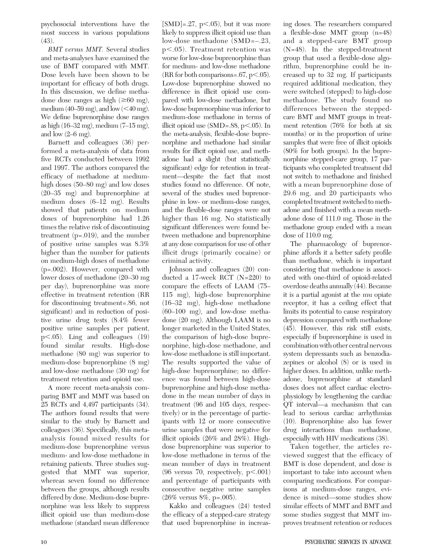psychosocial interventions have the most success in various populations (43).

BMT versus MMT. Several studies and meta-analyses have examined the use of BMT compared with MMT. Dose levels have been shown to be important for efficacy of both drugs. In this discussion, we define methadone dose ranges as high  $(\geq 60 \text{ mg})$ , medium (40–59 mg), and low  $(<$ 40 mg). We define buprenorphine dose ranges as high (16–32 mg), medium (7–15 mg), and low  $(2–6$  mg).

Barnett and colleagues (36) performed a meta-analysis of data from five RCTs conducted between 1992 and 1997. The authors compared the efficacy of methadone at mediumhigh doses (50–80 mg) and low doses (20–35 mg) and buprenorphine at medium doses (6–12 mg). Results showed that patients on medium doses of buprenorphine had 1.26 times the relative risk of discontinuing treatment (p=.019), and the number of positive urine samples was 8.3% higher than the number for patients on medium-high doses of methadone (p=.002). However, compared with lower doses of methadone (20–30 mg per day), buprenorphine was more effective in treatment retention (RR for discontinuing treatment=.86, not significant) and in reduction of positive urine drug tests (8.4% fewer positive urine samples per patient,  $p<.05$ ). Ling and colleagues (19) found similar results. High-dose methadone (80 mg) was superior to medium-dose buprenorphine (8 mg) and low-dose methadone (30 mg) for treatment retention and opioid use.

A more recent meta-analysis comparing BMT and MMT was based on 25 RCTs and 4,497 participants (34). The authors found results that were similar to the study by Barnett and colleagues (36). Specifically, this metaanalysis found mixed results for medium-dose buprenorphine versus medium- and low-dose methadone in retaining patients. Three studies suggested that MMT was superior, whereas seven found no difference between the groups, although results differed by dose. Medium-dose buprenorphine was less likely to suppress illicit opioid use than medium-dose methadone (standard mean difference

 $[SMD] = .27$ , p<.05), but it was more likely to suppress illicit opioid use than low-dose methadone (SMD=–.23,  $p<.05$ ). Treatment retention was worse for low-dose buprenorphine than for medium- and low-dose methadone (RR for both comparisons= $.67$ , p $\leq$ .05). Low-dose buprenorphine showed no difference in illicit opioid use compared with low-dose methadone, but low-dose buprenorphine was inferior to medium-dose methadone in terms of illicit opioid use  $(SMD=.88, p<.05)$ . In the meta-analysis, flexible-dose buprenorphine and methadone had similar results for illicit opioid use, and methadone had a slight (but statistically significant) edge for retention in treatment—despite the fact that most studies found no difference. Of note, several of the studies used buprenorphine in low- or medium-dose ranges, and the flexible-dose ranges were not higher than 16 mg. No statistically significant differences were found between methadone and buprenorphine at any dose comparison for use of other illicit drugs (primarily cocaine) or criminal activity.

Johnson and colleagues (20) conducted a 17-week RCT (N=220) to compare the effects of LAAM (75– 115 mg), high-dose buprenorphine (16–32 mg), high-dose methadone (60–100 mg), and low-dose methadone (20 mg). Although LAAM is no longer marketed in the United States, the comparison of high-dose buprenorphine, high-dose methadone, and low-dose methadone is still important. The results supported the value of high-dose buprenorphine; no difference was found between high-dose buprenorphine and high-dose methadone in the mean number of days in treatment (96 and 105 days, respectively) or in the percentage of participants with 12 or more consecutive urine samples that were negative for illicit opioids (26% and 28%). Highdose buprenorphine was superior to low-dose methadone in terms of the mean number of days in treatment (96 versus 70, respectively,  $p<.001$ ) and percentage of participants with consecutive negative urine samples (26% versus 8%, p=.005).

Kakko and colleagues (24) tested the efficacy of a stepped-care strategy that used buprenorphine in increasing doses. The researchers compared a flexible-dose MMT group (n=48) and a stepped-care BMT group (N=48). In the stepped-treatment group that used a flexible-dose algorithm, buprenorphine could be increased up to 32 mg. If participants required additional medication, they were switched (stepped) to high-dose methadone. The study found no differences between the steppedcare BMT and MMT groups in treatment retention (76% for both at six months) or in the proportion of urine samples that were free of illicit opioids (80% for both groups). In the buprenorphine stepped-care group, 17 participants who completed treatment did not switch to methadone and finished with a mean buprenorphine dose of 29.6 mg, and 20 participants who completed treatment switched to methadone and finished with a mean methadone dose of 111.0 mg. Those in the methadone group ended with a mean dose of 110.0 mg.

The pharmacology of buprenorphine affords it a better safety profile than methadone, which is important considering that methadone is associated with one-third of opioid-related overdose deaths annually (44). Because it is a partial agonist at the mu opiate receptor, it has a ceiling effect that limits its potential to cause respiratory depression compared with methadone (45). However, this risk still exists, especially if buprenorphine is used in combination with other central nervous system depressants such as benzodiazepines or alcohol (8) or is used in higher doses. In addition, unlike methadone, buprenorphine at standard doses does not affect cardiac electrophysiology by lengthening the cardiac QT interval—a mechanism that can lead to serious cardiac arrhythmias (10). Buprenorphine also has fewer drug interactions than methadone, especially with HIV medications (38).

Taken together, the articles reviewed suggest that the efficacy of BMT is dose dependent, and dose is important to take into account when comparing medications. For comparisons at medium-dose ranges, evidence is mixed—some studies show similar effects of MMT and BMT and some studies suggest that MMT improves treatment retention or reduces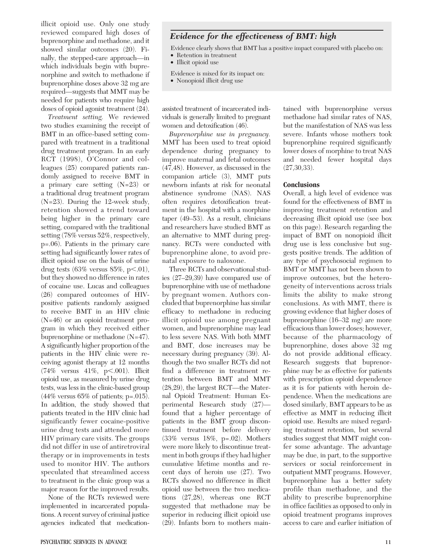illicit opioid use. Only one study reviewed compared high doses of buprenorphine and methadone, and it showed similar outcomes (20). Finally, the stepped-care approach—in which individuals begin with buprenorphine and switch to methadone if buprenorphine doses above 32 mg are required—suggests that MMT may be needed for patients who require high doses of opioid agonist treatment (24).

Treatment setting. We reviewed two studies examining the receipt of BMT in an office-based setting compared with treatment in a traditional drug treatment program. In an early RCT (1998), O'Connor and colleagues (25) compared patients randomly assigned to receive BMT in a primary care setting (N=23) or a traditional drug treatment program (N=23). During the 12-week study, retention showed a trend toward being higher in the primary care setting, compared with the traditional setting (78% versus 52%, respectively, p=.06). Patients in the primary care setting had significantly lower rates of illicit opioid use on the basis of urine drug tests  $(63\%$  versus  $85\%, p<.01$ ), but they showed no difference in rates of cocaine use. Lucas and colleagues (26) compared outcomes of HIVpositive patients randomly assigned to receive BMT in an HIV clinic (N=46) or an opioid treatment program in which they received either buprenorphine or methadone (N=47). A significantly higher proportion of the patients in the HIV clinic were receiving agonist therapy at 12 months  $(74\% \text{ versus } 41\%, \text{ p} < .001). \text{ Illicit}$ opioid use, as measured by urine drug tests, was less in the clinic-based group (44% versus 65% of patients; p=.015). In addition, the study showed that patients treated in the HIV clinic had significantly fewer cocaine-positive urine drug tests and attended more HIV primary care visits. The groups did not differ in use of antiretroviral therapy or in improvements in tests used to monitor HIV. The authors speculated that streamlined access to treatment in the clinic group was a major reason for the improved results.

None of the RCTs reviewed were implemented in incarcerated populations. A recent survey of criminal justice agencies indicated that medication-

### Evidence for the effectiveness of BMT: high

Evidence clearly shows that BMT has a positive impact compared with placebo on:

- Retention in treatment
- Illicit opioid use
- Evidence is mixed for its impact on:
- Nonopioid illicit drug use

assisted treatment of incarcerated individuals is generally limited to pregnant women and detoxification (46).

Buprenorphine use in pregnancy. MMT has been used to treat opioid dependence during pregnancy to improve maternal and fetal outcomes (47,48). However, as discussed in the companion article (3), MMT puts newborn infants at risk for neonatal abstinence syndrome (NAS). NAS often requires detoxification treatment in the hospital with a morphine taper (49–53). As a result, clinicians and researchers have studied BMT as an alternative to MMT during pregnancy. RCTs were conducted with buprenorphine alone, to avoid prenatal exposure to naloxone.

Three RCTs and observational studies (27–29,39) have compared use of buprenorphine with use of methadone by pregnant women. Authors concluded that buprenorphine has similar efficacy to methadone in reducing illicit opioid use among pregnant women, and buprenorphine may lead to less severe NAS. With both MMT and BMT, dose increases may be necessary during pregnancy (39). Although the two smaller RCTs did not find a difference in treatment retention between BMT and MMT (28,29), the largest RCT—the Maternal Opioid Treatment: Human Experimental Research study (27) found that a higher percentage of patients in the BMT group discontinued treatment before delivery (33% versus 18%, p=.02). Mothers were more likely to discontinue treatment in both groups if they had higher cumulative lifetime months and recent days of heroin use (27). Two RCTs showed no difference in illicit opioid use between the two medications (27,28), whereas one RCT suggested that methadone may be superior in reducing illicit opioid use (29). Infants born to mothers maintained with buprenorphine versus methadone had similar rates of NAS, but the manifestation of NAS was less severe. Infants whose mothers took buprenorphine required significantly lower doses of morphine to treat NAS and needed fewer hospital days (27,30,33).

#### **Conclusions**

Overall, a high level of evidence was found for the effectiveness of BMT in improving treatment retention and decreasing illicit opioid use (see box on this page). Research regarding the impact of BMT on nonopioid illicit drug use is less conclusive but suggests positive trends. The addition of any type of psychosocial regimen to BMT or MMT has not been shown to improve outcomes, but the heterogeneity of interventions across trials limits the ability to make strong conclusions. As with MMT, there is growing evidence that higher doses of buprenorphine (16–32 mg) are more efficacious than lower doses; however, because of the pharmacology of buprenorphine, doses above 32 mg do not provide additional efficacy. Research suggests that buprenorphine may be as effective for patients with prescription opioid dependence as it is for patients with heroin dependence. When the medications are dosed similarly, BMT appears to be as effective as MMT in reducing illicit opioid use. Results are mixed regarding treatment retention, but several studies suggest that MMT might confer some advantage. The advantage may be due, in part, to the supportive services or social reinforcement in outpatient MMT programs. However, buprenorphine has a better safety profile than methadone, and the ability to prescribe buprenorphine in office facilities as opposed to only in opioid treatment programs improves access to care and earlier initiation of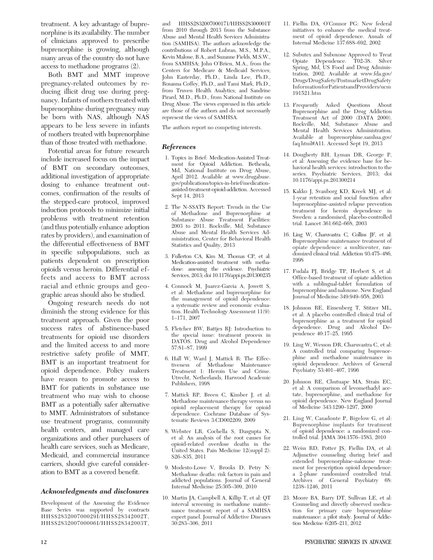treatment. A key advantage of buprenorphine is its availability. The number of clinicians approved to prescribe buprenorphine is growing, although many areas of the country do not have access to methadone programs (2).

Both BMT and MMT improve pregnancy-related outcomes by reducing illicit drug use during pregnancy. Infants of mothers treated with buprenorphine during pregnancy may be born with NAS, although NAS appears to be less severe in infants of mothers treated with buprenorphine than of those treated with methadone.

Potential areas for future research include increased focus on the impact of BMT on secondary outcomes, additional investigation of appropriate dosing to enhance treatment outcomes, confirmation of the results of the stepped-care protocol, improved induction protocols to minimize initial problems with treatment retention (and thus potentially enhance adoption rates by providers), and examination of the differential effectiveness of BMT in specific subpopulations, such as patients dependent on prescription opioids versus heroin. Differential effects and access to BMT across racial and ethnic groups and geographic areas should also be studied.

Ongoing research needs do not diminish the strong evidence for this treatment approach. Given the poor success rates of abstinence-based treatments for opioid use disorders and the limited access to and more restrictive safety profile of MMT, BMT is an important treatment for opioid dependence. Policy makers have reason to promote access to BMT for patients in substance use treatment who may wish to choose BMT as a potentially safer alternative to MMT. Administrators of substance use treatment programs, community health centers, and managed care organizations and other purchasers of health care services, such as Medicare, Medicaid, and commercial insurance carriers, should give careful consideration to BMT as a covered benefit.

#### Acknowledgments and disclosures

Development of the Assessing the Evidence Base Series was supported by contracts HHSS283200700029I/HHSS28342002T, HHSS283200700006I/HHSS28342003T,

and HHSS2832007000171/HHSS28300001T from 2010 through 2013 from the Substance Abuse and Mental Health Services Administration (SAMHSA). The authors acknowledge the contributions of Robert Lubran, M.S., M.P.A., Kevin Malone, B.A., and Suzanne Fields, M.S.W., from SAMHSA; John O'Brien, M.A., from the Centers for Medicare & Medicaid Services; John Easterday, Ph.D., Linda Lee, Ph.D., Rosanna Coffey, Ph.D., and Tami Mark, Ph.D., from Truven Health Analytics; and Sandrine Pirard, M.D., Ph.D., from National Institute on Drug Abuse. The views expressed in this article are those of the authors and do not necessarily represent the views of SAMHSA.

The authors report no competing interests.

#### References

- 1. Topics in Brief: Medication-Assisted Treatment for Opioid Addiction. Bethesda, Md, National Institute on Drug Abuse, April 2012. Available at www.drugabuse. gov/publications/topics-in-brief/medicationassisted-treatment-opioid-addiction. Accessed Sept 14, 2013
- 2. The N-SSATS Report: Trends in the Use of Methadone and Buprenorphine at Substance Abuse Treatment Facilities: 2003 to 2011. Rockville, Md, Substance Abuse and Mental Health Services Administration, Center for Behavioral Health Statistics and Quality, 2013
- 3. Fullerton CA, Kim M, Thomas CP, et al: Medication-assisted treatment with methadone: assessing the evidence. Psychiatric Services, 2013; doi 10.1176/appi.ps.201300235
- 4. Connock M, Juarez-Garcia A, Jowett S, et al: Methadone and buprenorphine for the management of opioid dependence: a systematic review and economic evaluation. Health Technology Assessment 11(9): 1–171, 2007
- 5. Fletcher BW, Battjes RJ: Introduction to the special issue: treatment process in DATOS. Drug and Alcohol Dependence 57:81–87, 1999
- 6. Hall W, Ward J, Mattick R: The Effectiveness of Methadone Maintenance Treatment 1: Heroin Use and Crime. Utrecht, Netherlands, Harwood Academic Publishers, 1998
- 7. Mattick RP, Breen C, Kimber J, et al: Methadone maintenance therapy versus no opioid replacement therapy for opioid dependence. Cochrane Database of Systematic Reviews 3:CD002209, 2009
- 8. Webster LR, Cochella S, Dasgupta N, et al: An analysis of the root causes for opioid-related overdose deaths in the United States. Pain Medicine 12(suppl 2): S26–S35, 2011
- 9. Modesto-Lowe V, Brooks D, Petry N: Methadone deaths: risk factors in pain and addicted populations. Journal of General Internal Medicine 25:305–309, 2010
- 10. Martin JA, Campbell A, Killip T, et al: QT interval screening in methadone maintenance treatment: report of a SAMHSA expert panel. Journal of Addictive Diseases 30:283–306, 2011
- 11. Fiellin DA, O'Connor PG: New federal initiatives to enhance the medical treatment of opioid dependence. Annals of Internal Medicine 137:688–692, 2002
- 12. Subutex and Suboxone Approved to Treat Opiate Dependence. T02-38. Silver Spring, Md, US Food and Drug Administration, 2002. Available at www.fda.gov/ Drugs/DrugSafety/PostmarketDrugSafety InformationforPatientsandProviders/ucm 191521.htm
- 13. Frequently Asked Questions About Buprenorphine and the Drug Addiction Treatment Act of 2000 (DATA 2000). Rockville, Md, Substance Abuse and Mental Health Services Administration. Available at buprenorphine.samhsa.gov/ faq.html#A11. Accessed Sept 19, 2013
- 14. Dougherty RH, Lyman DR, George P, et al: Assessing the evidence base for behavioral health services: introduction to the series. Psychiatric Services, 2013; doi 10.1176/appi.ps.201300214
- 15. Kakko J, Svanborg KD, Kreek MJ, et al: 1-year retention and social function after buprenorphine-assisted relapse prevention treatment for heroin dependence in Sweden: a randomised, placebo-controlled trial. Lancet 361:662–668, 2003
- 16. Ling W, Charuvastra C, Collins JF, et al: Buprenorphine maintenance treatment of opiate dependence: a multicenter, randomized clinical trial. Addiction 93:475–486, 1998
- 17. Fudala PJ, Bridge TP, Herbert S, et al: Office-based treatment of opiate addiction with a sublingual-tablet formulation of buprenorphine and naloxone. New England Journal of Medicine 349:949–958, 2003
- 18. Johnson RE, Eissenberg T, Stitzer ML, et al: A placebo controlled clinical trial of buprenorphine as a treatment for opioid dependence. Drug and Alcohol Dependence 40:17–25, 1995
- 19. Ling W, Wesson DR, Charuvastra C, et al: A controlled trial comparing buprenorphine and methadone maintenance in opioid dependence. Archives of General Psychiatry 53:401–407, 1996
- 20. Johnson RE, Chutuape MA, Strain EC, et al: A comparison of levomethadyl acetate, buprenorphine, and methadone for opioid dependence. New England Journal of Medicine 343:1290–1297, 2000
- 21. Ling W, Casadonte P, Bigelow G, et al: Buprenorphine implants for treatment of opioid dependence: a randomized controlled trial. JAMA 304:1576–1583, 2010
- 22. Weiss RD, Potter JS, Fiellin DA, et al: Adjunctive counseling during brief and extended buprenorphine-naloxone treatment for prescription opioid dependence: a 2-phase randomized controlled trial. Archives of General Psychiatry 68: 1238–1246, 2011
- 23. Moore BA, Barry DT, Sullivan LE, et al: Counseling and directly observed medication for primary care buprenorphine maintenance: a pilot study. Journal of Addiction Medicine 6:205–211, 2012